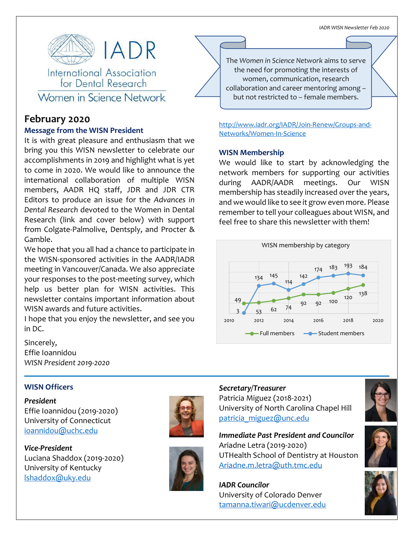

# Women in Science Network

# **February 2020**

# **Message from the WISN President**

It is with great pleasure and enthusiasm that we bring you this WISN newsletter to celebrate our accomplishments in 2019 and highlight what is yet to come in 2020. We would like to announce the international collaboration of multiple WISN members, AADR HQ staff, JDR and JDR CTR Editors to produce an issue for the *Advances in Dental Research* devoted to the Women in Dental Research (link and cover below) with support from Colgate-Palmolive, Dentsply, and Procter & Gamble.

We hope that you all had a chance to participate in the WISN-sponsored activities in the AADR/IADR meeting in Vancouver/Canada. We also appreciate your responses to the post-meeting survey, which help us better plan for WISN activities. This newsletter contains important information about WISN awards and future activities.

I hope that you enjoy the newsletter, and see you in DC.

Sincerely, Effie Ioannidou *WISN President 2019-2020*

**WISN Officers**

*President* Effie Ioannidou (2019-2020) University of Connecticut [ioannidou@uchc.edu](mailto:ioannidou@uchc.edu)

*Vice-President* Luciana Shaddox (2019-2020) University of Kentucky [lshaddox@uky.edu](mailto:lshaddox@uky.edu)





but not restricted to – female members. The *Women in Science Network* aims to serve the need for promoting the interests of women, communication, research collaboration and career mentoring among –

[http://www.iadr.org/IADR/Join-Renew/Groups-and-](http://www.iadr.org/IADR/Join-Renew/Groups-and-Networks/Women-In-Science)[Networks/Women-In-Science](http://www.iadr.org/IADR/Join-Renew/Groups-and-Networks/Women-In-Science)

# **WISN Membership**

We would like to start by acknowledging the network members for supporting our activities during AADR/AADR meetings. Our WISN membership has steadily increased over the years, and we would like to see it grow even more. Please remember to tell your colleagues about WISN, and feel free to share this newsletter with them!



# *Secretary/Treasurer*

Patricia Miguez (2018-2021) University of North Carolina Chapel Hill [patricia\\_miguez@unc.edu](mailto:patricia_miguez@unc.edu)

*Immediate Past President and Councilor* Ariadne Letra (2019-2020) UTHealth School of Dentistry at Houston [Ariadne.m.letra@uth.tmc.edu](mailto:Ariadne.m.letra@uth.tmc.edu)

*IADR Councilor* University of Colorado Denver [tamanna.tiwari@ucdenver.edu](mailto:tamanna.tiwari@ucdenver.edu)





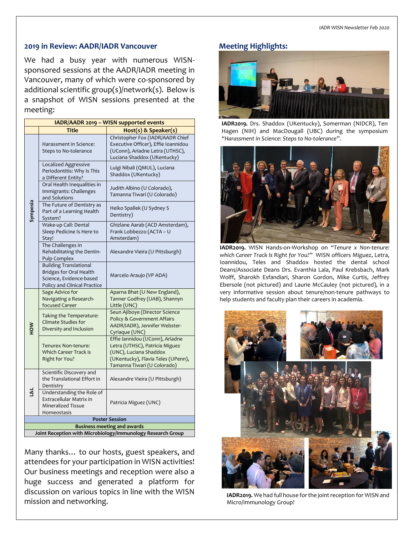### **2019 in Review: AADR/IADR Vancouver**

We had a busy year with numerous WISNsponsored sessions at the AADR/IADR meeting in Vancouver, many of which were co-sponsored by additional scientific group(s)/network(s). Below is a snapshot of WISN sessions presented at the meeting:

| IADR/AADR 2019 - WISN supported events                      |                                                                                                                            |                                                                                                                                                                  |  |
|-------------------------------------------------------------|----------------------------------------------------------------------------------------------------------------------------|------------------------------------------------------------------------------------------------------------------------------------------------------------------|--|
|                                                             | <b>Title</b>                                                                                                               | Host(s) & Speaker(s)                                                                                                                                             |  |
| Symposia                                                    | Harassment in Science:<br>Steps to No-tolerance                                                                            | Christopher Fox (IADR/AADR Chief<br>Executive Officer), Effie Ioannidou<br>(UConn), Ariadne Letra (UTHSC),<br>Luciana Shaddox (UKentucky)                        |  |
|                                                             | Localized Aggressive<br>Periodontitis: Why Is This<br>a Different Entity?                                                  | Luigi Nibali (QMUL), Luciana<br>Shaddox (UKentucky)                                                                                                              |  |
|                                                             | Oral Health Inequalities in<br>Immigrants: Challenges<br>and Solutions                                                     | Judith Albino (U Colorado),<br>Tamanna Tiwari (U Colorado)                                                                                                       |  |
|                                                             | The Future of Dentistry as<br>Part of a Learning Health<br>System?                                                         | Heiko Spallek (U Sydney S<br>Dentistry)                                                                                                                          |  |
|                                                             | Wake-up Call: Dental<br>Sleep Pedicine Is Here to<br>Stay!                                                                 | Ghizlane Aarab (ACD Amsterdam),<br>Frank Lobbezzo (ACTA - U<br>Amsterdam)                                                                                        |  |
|                                                             | The Challenges in<br>Rehabilitating the Dentin-<br>Pulp Complex                                                            | Alexandre Vieira (U Pittsburgh)                                                                                                                                  |  |
|                                                             | <b>Building Translational</b><br><b>Bridges for Oral Health</b><br>Science, Evidence-based<br>Policy and Clinical Practice | Marcelo Araujo (VP ADA)                                                                                                                                          |  |
| NOH                                                         | Sage Advice for<br>Navigating a Research-<br>focused Career                                                                | Aparna Bhat (U New England),<br>Tanner Godfrey (UAB), Shannyn<br>Little (UNC)                                                                                    |  |
|                                                             | Taking the Temperature:<br><b>Climate Studies for</b><br>Diversity and Inclusion                                           | Seun Ajiboye (Director Science<br>Policy & Government Affairs<br>AADR/IADR), Jennifer Webster-<br>Cyriaque (UNC)                                                 |  |
|                                                             | Tenurex Non-tenure:<br><b>Which Career Track is</b><br>Right for You?                                                      | Effie Iannidou (UConn), Ariadne<br>Letra (UTHSC), Patricia Miguez<br>(UNC), Luciana Shaddox<br>(UKentucky), Flavia Teles (UPenn),<br>Tamanna Tiwari (U Colorado) |  |
| ⊴લ                                                          | Scientific Discovery and<br>the Translational Effort in<br>Dentistry                                                       | Alexandre Vieira (U Pittsburgh)                                                                                                                                  |  |
|                                                             | Understanding the Role of<br>Extracellular Matrix in<br>Mineralized Tissue<br>Homeostasis                                  | Patricia Miguez (UNC)                                                                                                                                            |  |
| <b>Poster Session</b>                                       |                                                                                                                            |                                                                                                                                                                  |  |
| <b>Business meeting and awards</b>                          |                                                                                                                            |                                                                                                                                                                  |  |
| Joint Reception with Microbiology/Immunology Research Group |                                                                                                                            |                                                                                                                                                                  |  |

Many thanks… to our hosts, guest speakers, and attendees for your participation in WISN activities! Our business meetings and reception were also a huge success and generated a platform for discussion on various topics in line with the WISN mission and networking.

# **Meeting Highlights:**



**IADR2019.** Drs. Shaddox (UKentucky), Somerman (NIDCR), Ten Hagen (NIH) and MacDougall (UBC) during the symposium *"Harassment in Science: Steps to No-tolerance"*.



**IADR2019.** WISN Hands-on-Workshop on *"Tenure x Non-tenure: which Career Track Is Right for You?"* WISN officers Miguez, Letra, Ioannidou, Teles and Shaddox hosted the dental school Deans/Associate Deans Drs. Evanthia Lala, Paul Krebsbach, Mark Wolff, Sharokh Esfandiari, Sharon Gordon, Mike Curtis, Jeffrey Ebersole (not pictured) and Laurie McCauley (not pictured), in a very informative session about tenure/non-tenure pathways to help students and faculty plan their careers in academia.



**IADR2019.** We had full house for the joint reception for WISN and Micro/Immunology Group!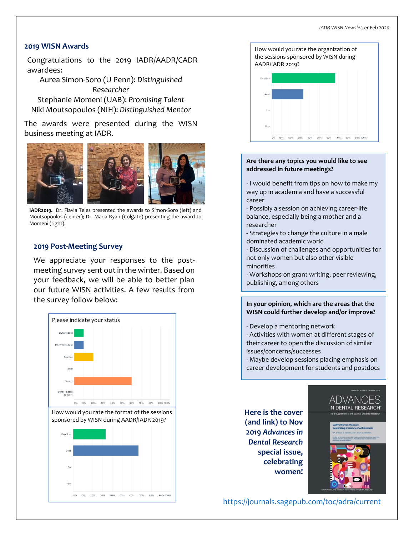#### **2019 WISN Awards**

Congratulations to the 2019 IADR/AADR/CADR awardees:

Aurea Simon-Soro (U Penn): *Distinguished Researcher* Stephanie Momeni (UAB): *Promising Talent* Niki Moutsopoulos (NIH): *Distinguished Mentor*

The awards were presented during the WISN business meeting at IADR.



**IADR2019.** Dr. Flavia Teles presented the awards to Simon-Soro (left) and Moutsopoulos (center); Dr. Maria Ryan (Colgate) presenting the award to Momeni (right).

#### **2019 Post-Meeting Survey**

We appreciate your responses to the postmeeting survey sent out in the winter. Based on your feedback, we will be able to better plan our future WISN activities. A few results from the survey follow below:





#### **Are there any topics you would like to see addressed in future meetings?**

- I would benefit from tips on how to make my way up in academia and have a successful career

- Possibly a session on achieving career-life balance, especially being a mother and a researcher

- Strategies to change the culture in a male dominated academic world

- Discussion of challenges and opportunities for not only women but also other visible minorities

- Workshops on grant writing, peer reviewing, publishing, among others

**In your opinion, which are the areas that the WISN could further develop and/or improve?**

- Develop a mentoring network

- Activities with women at different stages of their career to open the discussion of similar issues/concerns/successes

- Maybe develop sessions placing emphasis on career development for students and postdocs

**Here is the cover (and link) to Nov 2019** *Advances in Dental Research* **special issue, celebrating women!**



IN DENTAL RESEARCH

<https://journals.sagepub.com/toc/adra/current>